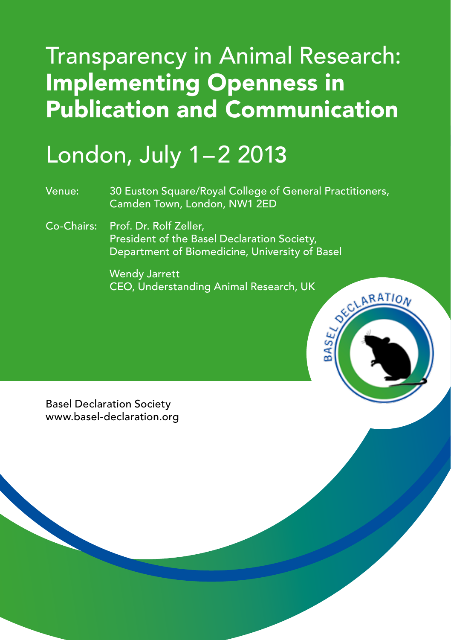## Transparency in Animal Research: Implementing Openness in Publication and Communication

## London, July 1–2 2013

Venue: 30 Euston Square/Royal College of General Practitioners, Camden Town, London, NW1 2ED

Co-Chairs: Prof. Dr. Rolf Zeller, President of the Basel Declaration Society, Department of Biomedicine, University of Basel

> Wendy Jarrett CEO, Understanding Animal Research, UK

ARATIO

**BASE** 

Basel Declaration Society www.basel-declaration.org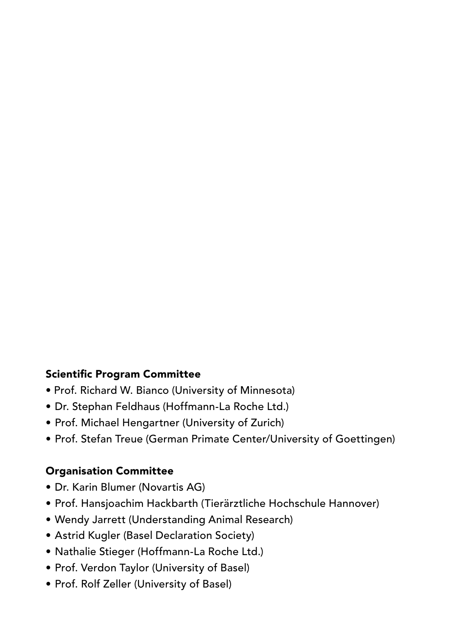#### Scientific Program Committee

- Prof. Richard W. Bianco (University of Minnesota)
- Dr. Stephan Feldhaus (Hoffmann-La Roche Ltd.)
- Prof. Michael Hengartner (University of Zurich)
- Prof. Stefan Treue (German Primate Center/University of Goettingen)

#### Organisation Committee

- Dr. Karin Blumer (Novartis AG)
- Prof. Hansjoachim Hackbarth (Tierärztliche Hochschule Hannover)
- Wendy Jarrett (Understanding Animal Research)
- Astrid Kugler (Basel Declaration Society)
- Nathalie Stieger (Hoffmann-La Roche Ltd.)
- Prof. Verdon Taylor (University of Basel)
- Prof. Rolf Zeller (University of Basel)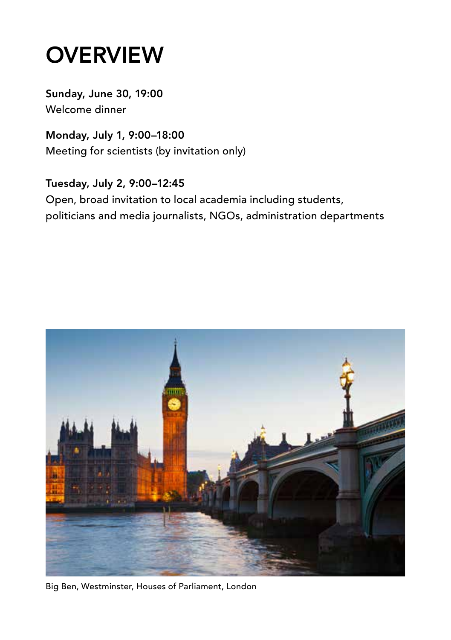## **OVERVIEW**

Sunday, June 30, 19:00 Welcome dinner

Monday, July 1, 9:00–18:00 Meeting for scientists (by invitation only)

Tuesday, July 2, 9:00–12:45 Open, broad invitation to local academia including students, politicians and media journalists, NGOs, administration departments



Big Ben, Westminster, Houses of Parliament, London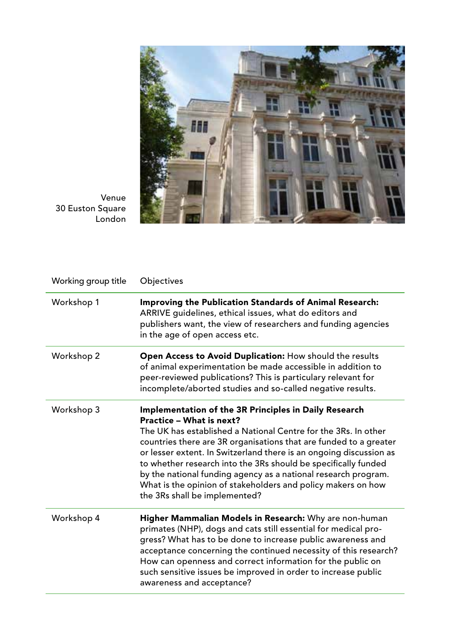

Venue 30 Euston Square London

| Working group title | Objectives                                                                                                                                                                                                                                                                                                                                                                                                                                                                                                                          |  |
|---------------------|-------------------------------------------------------------------------------------------------------------------------------------------------------------------------------------------------------------------------------------------------------------------------------------------------------------------------------------------------------------------------------------------------------------------------------------------------------------------------------------------------------------------------------------|--|
| Workshop 1          | <b>Improving the Publication Standards of Animal Research:</b><br>ARRIVE guidelines, ethical issues, what do editors and<br>publishers want, the view of researchers and funding agencies<br>in the age of open access etc.                                                                                                                                                                                                                                                                                                         |  |
| Workshop 2          | Open Access to Avoid Duplication: How should the results<br>of animal experimentation be made accessible in addition to<br>peer-reviewed publications? This is particulary relevant for<br>incomplete/aborted studies and so-called negative results.                                                                                                                                                                                                                                                                               |  |
| Workshop 3          | Implementation of the 3R Principles in Daily Research<br>Practice - What is next?<br>The UK has established a National Centre for the 3Rs. In other<br>countries there are 3R organisations that are funded to a greater<br>or lesser extent. In Switzerland there is an ongoing discussion as<br>to whether research into the 3Rs should be specifically funded<br>by the national funding agency as a national research program.<br>What is the opinion of stakeholders and policy makers on how<br>the 3Rs shall be implemented? |  |
| Workshop 4          | <b>Higher Mammalian Models in Research:</b> Why are non-human<br>primates (NHP), dogs and cats still essential for medical pro-<br>gress? What has to be done to increase public awareness and<br>acceptance concerning the continued necessity of this research?<br>How can openness and correct information for the public on<br>such sensitive issues be improved in order to increase public<br>awareness and acceptance?                                                                                                       |  |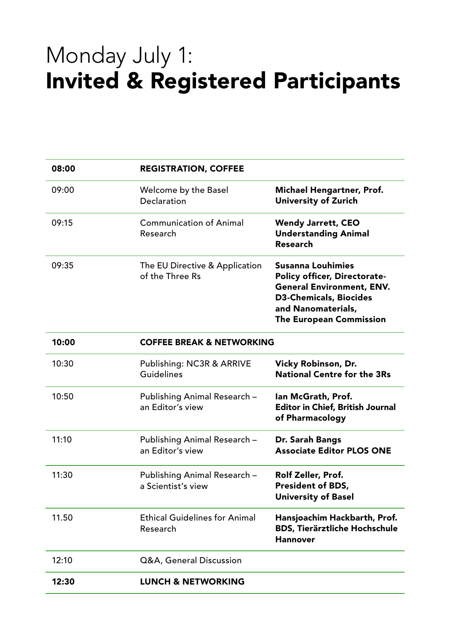### Monday July 1: Invited & Registered Participants

| 08:00 | <b>REGISTRATION, COFFEE</b>                        |                                                                                                                                                                                |  |
|-------|----------------------------------------------------|--------------------------------------------------------------------------------------------------------------------------------------------------------------------------------|--|
| 09:00 | Welcome by the Basel<br>Declaration                | Michael Hengartner, Prof.<br>University of Zurich                                                                                                                              |  |
| 09:15 | Communication of Animal<br>Research                | <b>Wendy Jarrett, CEO</b><br><b>Understanding Animal</b><br>Research                                                                                                           |  |
| 09:35 | The EU Directive & Application<br>of the Three Rs  | Susanna Louhimies<br>Policy officer, Directorate-<br><b>General Environment, ENV.</b><br><b>D3-Chemicals, Biocides</b><br>and Nanomaterials,<br><b>The European Commission</b> |  |
| 10:00 | <b>COFFEE BREAK &amp; NETWORKING</b>               |                                                                                                                                                                                |  |
| 10:30 | Publishing: NC3R & ARRIVE<br>Guidelines            | Vicky Robinson, Dr.<br><b>National Centre for the 3Rs</b>                                                                                                                      |  |
| 10:50 | Publishing Animal Research -<br>an Editor's view   | lan McGrath, Prof.<br><b>Editor in Chief, British Journal</b><br>of Pharmacology                                                                                               |  |
| 11:10 | Publishing Animal Research -<br>an Editor's view   | Dr. Sarah Bangs<br><b>Associate Editor PLOS ONE</b>                                                                                                                            |  |
| 11:30 | Publishing Animal Research -<br>a Scientist's view | Rolf Zeller, Prof.<br>President of BDS,<br><b>University of Basel</b>                                                                                                          |  |
| 11.50 | <b>Ethical Guidelines for Animal</b><br>Research   | Hansjoachim Hackbarth, Prof.<br><b>BDS, Tierärztliche Hochschule</b><br><b>Hannover</b>                                                                                        |  |
| 12:10 | Q&A, General Discussion                            |                                                                                                                                                                                |  |
| 12:30 | <b>LUNCH &amp; NETWORKING</b>                      |                                                                                                                                                                                |  |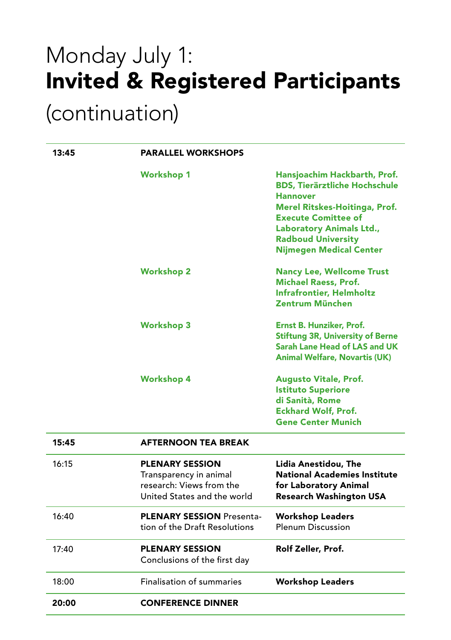# Monday July 1: Invited & Registered Participants

#### (continuation)

| 13:45 | <b>PARALLEL WORKSHOPS</b>                                                                                   |                                                                                                                                                                                                                                                          |
|-------|-------------------------------------------------------------------------------------------------------------|----------------------------------------------------------------------------------------------------------------------------------------------------------------------------------------------------------------------------------------------------------|
|       | <b>Workshop 1</b>                                                                                           | Hansjoachim Hackbarth, Prof.<br><b>BDS. Tierärztliche Hochschule</b><br><b>Hannover</b><br>Merel Ritskes-Hoitinga, Prof.<br><b>Execute Comittee of</b><br><b>Laboratory Animals Ltd.,</b><br><b>Radboud University</b><br><b>Nijmegen Medical Center</b> |
|       | <b>Workshop 2</b>                                                                                           | <b>Nancy Lee, Wellcome Trust</b><br><b>Michael Raess, Prof.</b><br><b>Infrafrontier, Helmholtz</b><br>Zentrum München                                                                                                                                    |
|       | <b>Workshop 3</b>                                                                                           | Ernst B. Hunziker, Prof.<br><b>Stiftung 3R, University of Berne</b><br>Sarah Lane Head of LAS and UK<br><b>Animal Welfare, Novartis (UK)</b>                                                                                                             |
|       | <b>Workshop 4</b>                                                                                           | <b>Augusto Vitale, Prof.</b><br><b>Istituto Superiore</b><br>di Sanità, Rome<br><b>Eckhard Wolf, Prof.</b><br><b>Gene Center Munich</b>                                                                                                                  |
| 15:45 | <b>AFTERNOON TEA BREAK</b>                                                                                  |                                                                                                                                                                                                                                                          |
| 16:15 | <b>PLENARY SESSION</b><br>Transparency in animal<br>research: Views from the<br>United States and the world | Lidia Anestidou, The<br><b>National Academies Institute</b><br>for Laboratory Animal<br><b>Research Washington USA</b>                                                                                                                                   |
| 16:40 | <b>PLENARY SESSION Presenta-</b><br>tion of the Draft Resolutions                                           | <b>Workshop Leaders</b><br><b>Plenum Discussion</b>                                                                                                                                                                                                      |
| 17:40 | <b>PLENARY SESSION</b><br>Conclusions of the first day                                                      | Rolf Zeller, Prof.                                                                                                                                                                                                                                       |
| 18:00 | <b>Finalisation of summaries</b>                                                                            | <b>Workshop Leaders</b>                                                                                                                                                                                                                                  |
| 20:00 | <b>CONFERENCE DINNER</b>                                                                                    |                                                                                                                                                                                                                                                          |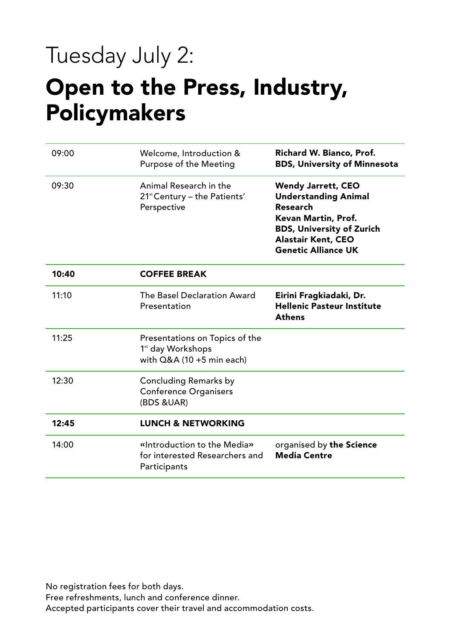## Tuesday July 2:

#### Open to the Press, Industry, Policymakers

| 09:00 | Welcome, Introduction &<br>Purpose of the Meeting                                              | Richard W. Bianco, Prof.<br><b>BDS, University of Minnesota</b>                                                                                                                            |
|-------|------------------------------------------------------------------------------------------------|--------------------------------------------------------------------------------------------------------------------------------------------------------------------------------------------|
| 09:30 | Animal Research in the<br>21 <sup>st</sup> Century – the Patients'<br>Perspective              | <b>Wendy Jarrett, CEO</b><br><b>Understanding Animal</b><br>Research<br>Kevan Martin, Prof.<br><b>BDS, University of Zurich</b><br><b>Alastair Kent, CEO</b><br><b>Genetic Alliance UK</b> |
| 10:40 | <b>COFFEE BREAK</b>                                                                            |                                                                                                                                                                                            |
| 11:10 | The Basel Declaration Award<br>Presentation                                                    | Eirini Fragkiadaki, Dr.<br><b>Hellenic Pasteur Institute</b><br><b>Athens</b>                                                                                                              |
| 11:25 | Presentations on Topics of the<br>1 <sup>st</sup> day Workshops<br>with $Q&A(10 + 5$ min each) |                                                                                                                                                                                            |
| 12:30 | Concluding Remarks by<br><b>Conference Organisers</b><br>(BDS & UAR)                           |                                                                                                                                                                                            |
| 12:45 | <b>LUNCH &amp; NETWORKING</b>                                                                  |                                                                                                                                                                                            |
| 14:00 | «Introduction to the Media»<br>for interested Researchers and<br>Participants                  | organised by the Science<br><b>Media Centre</b>                                                                                                                                            |

No registration fees for both days.

Free refreshments, lunch and conference dinner.

Accepted participants cover their travel and accommodation costs.